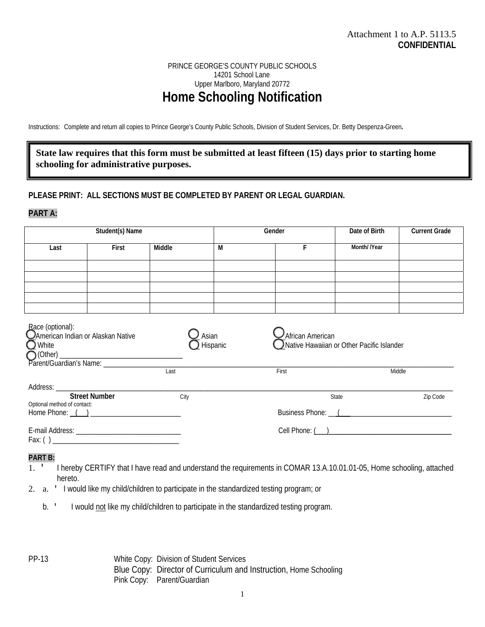# PRINCE GEORGE'S COUNTY PUBLIC SCHOOLS 14201 School Lane Upper Marlboro, Maryland 20772 **Home Schooling Notification**

Instructions: Complete and return all copies to Prince George's County Public Schools, Division of Student Services, Dr. Betty Despenza-Green**.** 

# **State law requires that this form must be submitted at least fifteen (15) days prior to starting home schooling for administrative purposes.**

### **PLEASE PRINT: ALL SECTIONS MUST BE COMPLETED BY PARENT OR LEGAL GUARDIAN.**

### **PART A:**

| Student(s) Name                                                          |       |        | Gender                        |                                                                      | Date of Birth | <b>Current Grade</b> |
|--------------------------------------------------------------------------|-------|--------|-------------------------------|----------------------------------------------------------------------|---------------|----------------------|
| Last                                                                     | First | Middle | M                             | F                                                                    | Month//Year   |                      |
|                                                                          |       |        |                               |                                                                      |               |                      |
|                                                                          |       |        |                               |                                                                      |               |                      |
|                                                                          |       |        |                               |                                                                      |               |                      |
|                                                                          |       |        |                               |                                                                      |               |                      |
| Race (optional):<br>CAmerican Indian or Alaskan Native<br><b>Q</b> White |       | Asian  | Hispanic                      | $\sum$ African American<br>Native Hawaiian or Other Pacific Islander |               |                      |
| Last                                                                     |       |        |                               | First                                                                | Middle        |                      |
| <b>Street Number</b><br>Optional method of contact:                      |       | City   |                               | Zip Code<br>State                                                    |               |                      |
|                                                                          |       |        | Business Phone: <u>(2000)</u> |                                                                      |               |                      |
| $Fax: () \_$                                                             |       |        |                               |                                                                      |               |                      |

#### **PART B:**

- 1. ' I hereby CERTIFY that I have read and understand the requirements in COMAR 13.A.10.01.01-05, Home schooling, attached hereto.
- 2. a. ' I would like my child/children to participate in the standardized testing program; or
	- b. ' I would not like my child/children to participate in the standardized testing program.

PP-13White Copy:Division of Student Services Blue Copy: Director of Curriculum and Instruction, Home Schooling Pink Copy: Parent/Guardian